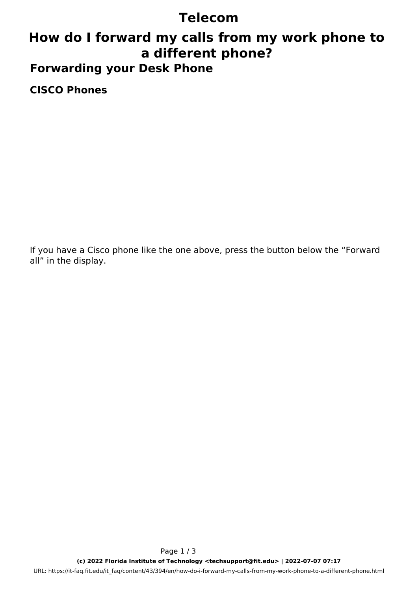### **Telecom**

## **How do I forward my calls from my work phone to a different phone? Forwarding your Desk Phone**

**CISCO Phones**

If you have a Cisco phone like the one above, press the button below the "Forward all" in the display.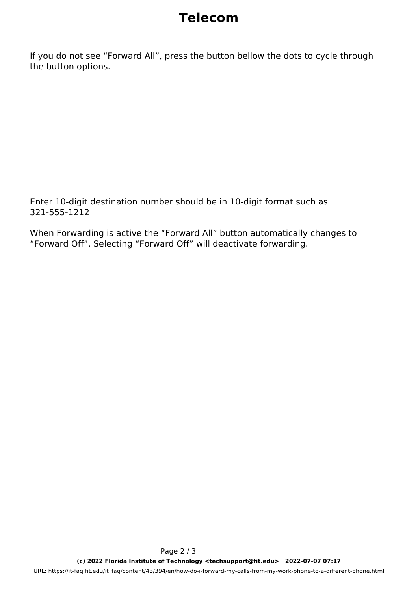# **Telecom**

If you do not see "Forward All", press the button bellow the dots to cycle through the button options.

Enter 10-digit destination number should be in 10-digit format such as 321-555-1212

When Forwarding is active the "Forward All" button automatically changes to "Forward Off". Selecting "Forward Off" will deactivate forwarding.